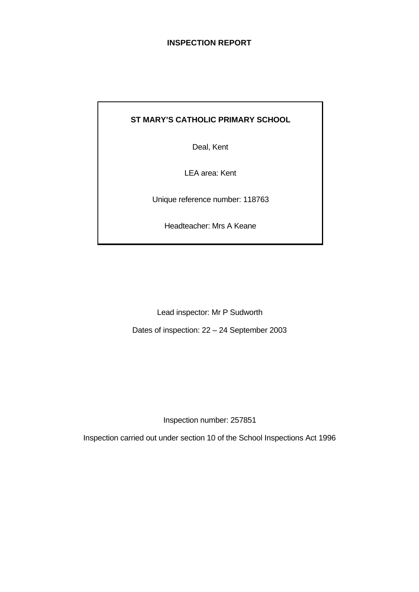# **INSPECTION REPORT**

# **ST MARY'S CATHOLIC PRIMARY SCHOOL**

Deal, Kent

LEA area: Kent

Unique reference number: 118763

Headteacher: Mrs A Keane

Lead inspector: Mr P Sudworth

Dates of inspection: 22 – 24 September 2003

Inspection number: 257851

Inspection carried out under section 10 of the School Inspections Act 1996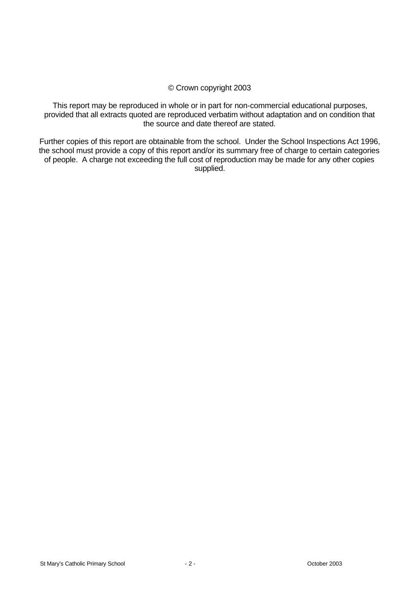## © Crown copyright 2003

This report may be reproduced in whole or in part for non-commercial educational purposes, provided that all extracts quoted are reproduced verbatim without adaptation and on condition that the source and date thereof are stated.

Further copies of this report are obtainable from the school. Under the School Inspections Act 1996, the school must provide a copy of this report and/or its summary free of charge to certain categories of people. A charge not exceeding the full cost of reproduction may be made for any other copies supplied.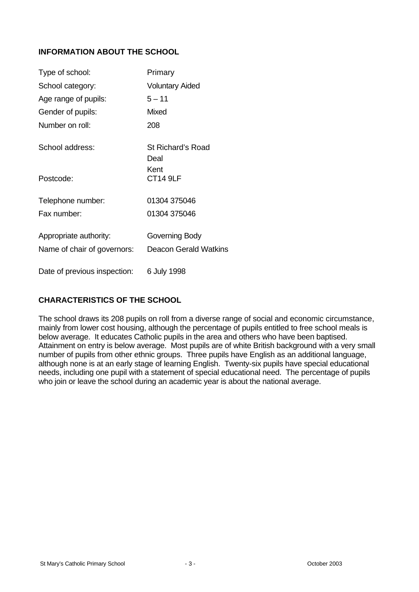# **INFORMATION ABOUT THE SCHOOL**

| Type of school:              | Primary                      |
|------------------------------|------------------------------|
| School category:             | <b>Voluntary Aided</b>       |
| Age range of pupils:         | $5 - 11$                     |
| Gender of pupils:            | <b>Mixed</b>                 |
| Number on roll:              | 208                          |
| School address:              | St Richard's Road<br>Deal    |
| Postcode:                    | Kent<br><b>CT14 9LF</b>      |
| Telephone number:            | 01304 375046                 |
| Fax number:                  | 01304 375046                 |
| Appropriate authority:       | Governing Body               |
| Name of chair of governors:  | <b>Deacon Gerald Watkins</b> |
| Date of previous inspection: | 6 July 1998                  |

# **CHARACTERISTICS OF THE SCHOOL**

The school draws its 208 pupils on roll from a diverse range of social and economic circumstance, mainly from lower cost housing, although the percentage of pupils entitled to free school meals is below average. It educates Catholic pupils in the area and others who have been baptised. Attainment on entry is below average. Most pupils are of white British background with a very small number of pupils from other ethnic groups. Three pupils have English as an additional language, although none is at an early stage of learning English. Twenty-six pupils have special educational needs, including one pupil with a statement of special educational need. The percentage of pupils who join or leave the school during an academic year is about the national average.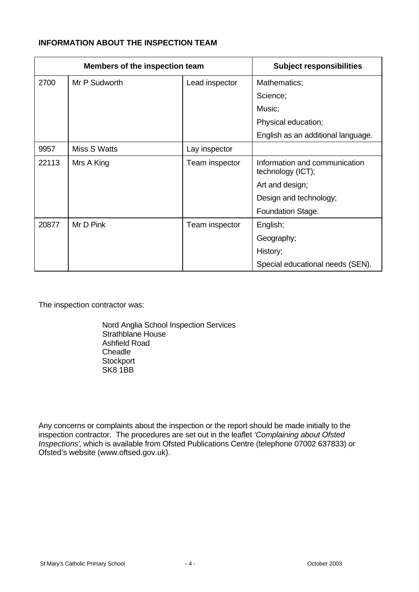# **INFORMATION ABOUT THE INSPECTION TEAM**

|       | Members of the inspection team |                | <b>Subject responsibilities</b>                    |
|-------|--------------------------------|----------------|----------------------------------------------------|
| 2700  | Mr P Sudworth                  | Lead inspector | Mathematics;                                       |
|       |                                |                | Science;                                           |
|       |                                |                | Music;                                             |
|       |                                |                | Physical education;                                |
|       |                                |                | English as an additional language.                 |
| 9957  | Miss S Watts                   | Lay inspector  |                                                    |
| 22113 | Mrs A King                     | Team inspector | Information and communication<br>technology (ICT); |
|       |                                |                | Art and design;                                    |
|       |                                |                | Design and technology;                             |
|       |                                |                | Foundation Stage.                                  |
| 20877 | Mr D Pink                      | Team inspector | English;                                           |
|       |                                |                | Geography;                                         |
|       |                                |                | History;                                           |
|       |                                |                | Special educational needs (SEN).                   |

The inspection contractor was:

Nord Anglia School Inspection Services Strathblane House Ashfield Road **Cheadle Stockport** SK8 1BB

Any concerns or complaints about the inspection or the report should be made initially to the inspection contractor. The procedures are set out in the leaflet *'Complaining about Ofsted Inspections'*, which is available from Ofsted Publications Centre (telephone 07002 637833) or Ofsted's website (www.oftsed.gov.uk).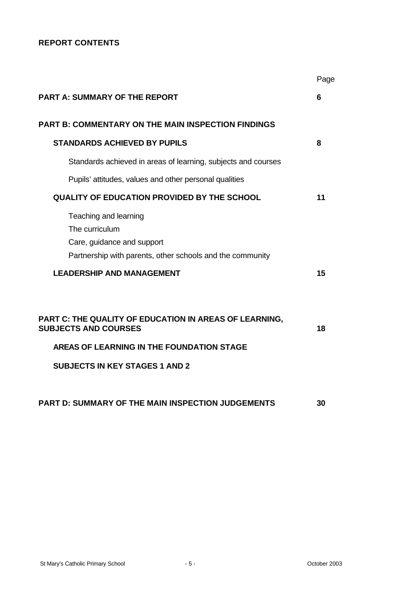# **REPORT CONTENTS**

|                                                                                                                                                                             | Page |
|-----------------------------------------------------------------------------------------------------------------------------------------------------------------------------|------|
| <b>PART A: SUMMARY OF THE REPORT</b>                                                                                                                                        | 6    |
| <b>PART B: COMMENTARY ON THE MAIN INSPECTION FINDINGS</b>                                                                                                                   |      |
| <b>STANDARDS ACHIEVED BY PUPILS</b>                                                                                                                                         | 8    |
| Standards achieved in areas of learning, subjects and courses                                                                                                               |      |
| Pupils' attitudes, values and other personal qualities                                                                                                                      |      |
| <b>QUALITY OF EDUCATION PROVIDED BY THE SCHOOL</b>                                                                                                                          | 11   |
| Teaching and learning<br>The curriculum<br>Care, guidance and support<br>Partnership with parents, other schools and the community                                          |      |
| <b>LEADERSHIP AND MANAGEMENT</b>                                                                                                                                            | 15   |
| PART C: THE QUALITY OF EDUCATION IN AREAS OF LEARNING,<br><b>SUBJECTS AND COURSES</b><br>AREAS OF LEARNING IN THE FOUNDATION STAGE<br><b>SUBJECTS IN KEY STAGES 1 AND 2</b> | 18   |
| PART D: SUMMARY OF THE MAIN INSPECTION JUDGEMENTS                                                                                                                           | 30   |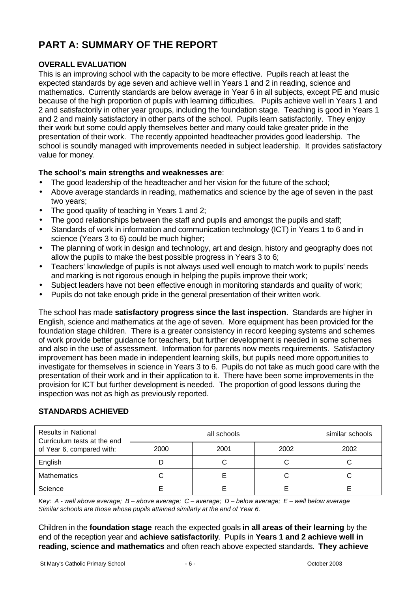# **PART A: SUMMARY OF THE REPORT**

# **OVERALL EVALUATION**

This is an improving school with the capacity to be more effective. Pupils reach at least the expected standards by age seven and achieve well in Years 1 and 2 in reading, science and mathematics. Currently standards are below average in Year 6 in all subjects, except PE and music because of the high proportion of pupils with learning difficulties. Pupils achieve well in Years 1 and 2 and satisfactorily in other year groups, including the foundation stage. Teaching is good in Years 1 and 2 and mainly satisfactory in other parts of the school. Pupils learn satisfactorily. They enjoy their work but some could apply themselves better and many could take greater pride in the presentation of their work. The recently appointed headteacher provides good leadership. The school is soundly managed with improvements needed in subject leadership. It provides satisfactory value for money.

# **The school's main strengths and weaknesses are**:

- The good leadership of the headteacher and her vision for the future of the school;
- Above average standards in reading, mathematics and science by the age of seven in the past two years;
- The good quality of teaching in Years 1 and 2;
- The good relationships between the staff and pupils and amongst the pupils and staff;
- Standards of work in information and communication technology (ICT) in Years 1 to 6 and in science (Years 3 to 6) could be much higher;
- The planning of work in design and technology, art and design, history and geography does not allow the pupils to make the best possible progress in Years 3 to 6;
- Teachers' knowledge of pupils is not always used well enough to match work to pupils' needs and marking is not rigorous enough in helping the pupils improve their work;
- Subject leaders have not been effective enough in monitoring standards and quality of work;
- Pupils do not take enough pride in the general presentation of their written work.

The school has made **satisfactory progress since the last inspection**. Standards are higher in English, science and mathematics at the age of seven. More equipment has been provided for the foundation stage children. There is a greater consistency in record keeping systems and schemes of work provide better guidance for teachers, but further development is needed in some schemes and also in the use of assessment. Information for parents now meets requirements. Satisfactory improvement has been made in independent learning skills, but pupils need more opportunities to investigate for themselves in science in Years 3 to 6. Pupils do not take as much good care with the presentation of their work and in their application to it. There have been some improvements in the provision for ICT but further development is needed. The proportion of good lessons during the inspection was not as high as previously reported.

| <b>Results in National</b><br>Curriculum tests at the end |              | similar schools |      |      |
|-----------------------------------------------------------|--------------|-----------------|------|------|
| of Year 6, compared with:                                 | 2000<br>2001 |                 | 2002 | 2002 |
| English                                                   |              |                 |      |      |
| <b>Mathematics</b>                                        |              |                 |      |      |
| Science                                                   |              |                 |      |      |

# **STANDARDS ACHIEVED**

*Key: A - well above average; B – above average; C – average; D – below average; E – well below average Similar schools are those whose pupils attained similarly at the end of Year 6.*

Children in the **foundation stage** reach the expected goals **in all areas of their learning** by the end of the reception year and **achieve satisfactorily**. Pupils in **Years 1 and 2 achieve well in reading, science and mathematics** and often reach above expected standards. **They achieve**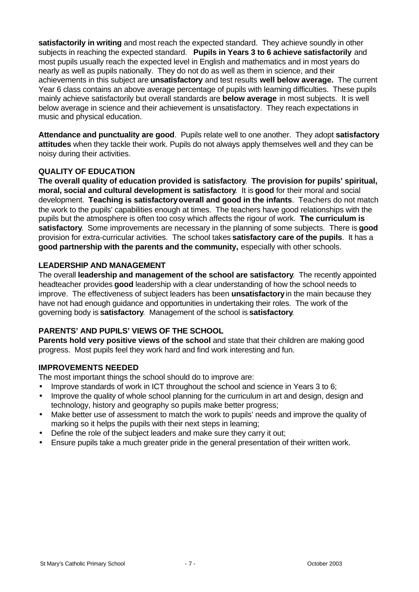**satisfactorily in writing** and most reach the expected standard.They achieve soundly in other subjects in reaching the expected standard. **Pupils in Years 3 to 6 achieve satisfactorily** and most pupils usually reach the expected level in English and mathematics and in most years do nearly as well as pupils nationally.They do not do as well as them in science, and their achievements in this subject are **unsatisfactory** and test results **well below average.** The current Year 6 class contains an above average percentage of pupils with learning difficulties. These pupils mainly achieve satisfactorily but overall standards are **below average** in most subjects. It is well below average in science and their achievement is unsatisfactory. They reach expectations in music and physical education.

**Attendance and punctuality are good**. Pupils relate well to one another. They adopt **satisfactory attitudes** when they tackle their work. Pupils do not always apply themselves well and they can be noisy during their activities.

# **QUALITY OF EDUCATION**

**The overall quality of education provided is satisfactory**. **The provision for pupils' spiritual, moral, social and cultural development is satisfactory**. It is **good** for their moral and social development. **Teaching is satisfactoryoverall and good in the infants**. Teachers do not match the work to the pupils' capabilities enough at times. The teachers have good relationships with the pupils but the atmosphere is often too cosy which affects the rigour of work. **The curriculum is satisfactory**. Some improvements are necessary in the planning of some subjects. There is **good** provision for extra-curricular activities. The school takes **satisfactory care of the pupils**. It has a **good partnership with the parents and the community,** especially with other schools.

# **LEADERSHIP AND MANAGEMENT**

The overall **leadership and management of the school are satisfactory**. The recently appointed headteacher provides **good** leadership with a clear understanding of how the school needs to improve. The effectiveness of subject leaders has been **unsatisfactory** in the main because they have not had enough guidance and opportunities in undertaking their roles. The work of the governing body is **satisfactory**. Management of the school is **satisfactory**.

# **PARENTS' AND PUPILS' VIEWS OF THE SCHOOL**

**Parents hold very positive views of the school** and state that their children are making good progress. Most pupils feel they work hard and find work interesting and fun.

# **IMPROVEMENTS NEEDED**

The most important things the school should do to improve are:

- Improve standards of work in ICT throughout the school and science in Years 3 to 6;
- Improve the quality of whole school planning for the curriculum in art and design, design and technology, history and geography so pupils make better progress;
- Make better use of assessment to match the work to pupils' needs and improve the quality of marking so it helps the pupils with their next steps in learning;
- Define the role of the subject leaders and make sure they carry it out;
- Ensure pupils take a much greater pride in the general presentation of their written work.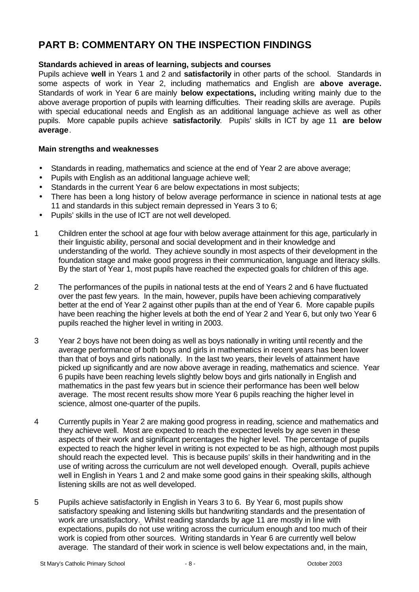# **PART B: COMMENTARY ON THE INSPECTION FINDINGS**

## **Standards achieved in areas of learning, subjects and courses**

Pupils achieve **well** in Years 1 and 2 and **satisfactorily** in other parts of the school. Standards in some aspects of work in Year 2, including mathematics and English are **above average.** Standards of work in Year 6 are mainly **below expectations,** including writing mainly due to the above average proportion of pupils with learning difficulties. Their reading skills are average. Pupils with special educational needs and English as an additional language achieve as well as other pupils. More capable pupils achieve **satisfactorily**. Pupils' skills in ICT by age 11 **are below average**.

- Standards in reading, mathematics and science at the end of Year 2 are above average;
- Pupils with English as an additional language achieve well;
- Standards in the current Year 6 are below expectations in most subjects;
- There has been a long history of below average performance in science in national tests at age 11 and standards in this subject remain depressed in Years 3 to 6;
- Pupils' skills in the use of ICT are not well developed.
- 1 Children enter the school at age four with below average attainment for this age, particularly in their linguistic ability, personal and social development and in their knowledge and understanding of the world. They achieve soundly in most aspects of their development in the foundation stage and make good progress in their communication, language and literacy skills. By the start of Year 1, most pupils have reached the expected goals for children of this age.
- 2 The performances of the pupils in national tests at the end of Years 2 and 6 have fluctuated over the past few years. In the main, however, pupils have been achieving comparatively better at the end of Year 2 against other pupils than at the end of Year 6. More capable pupils have been reaching the higher levels at both the end of Year 2 and Year 6, but only two Year 6 pupils reached the higher level in writing in 2003.
- 3 Year 2 boys have not been doing as well as boys nationally in writing until recently and the average performance of both boys and girls in mathematics in recent years has been lower than that of boys and girls nationally. In the last two years, their levels of attainment have picked up significantly and are now above average in reading, mathematics and science. Year 6 pupils have been reaching levels slightly below boys and girls nationally in English and mathematics in the past few years but in science their performance has been well below average. The most recent results show more Year 6 pupils reaching the higher level in science, almost one-quarter of the pupils.
- 4 Currently pupils in Year 2 are making good progress in reading, science and mathematics and they achieve well. Most are expected to reach the expected levels by age seven in these aspects of their work and significant percentages the higher level. The percentage of pupils expected to reach the higher level in writing is not expected to be as high, although most pupils should reach the expected level. This is because pupils' skills in their handwriting and in the use of writing across the curriculum are not well developed enough. Overall, pupils achieve well in English in Years 1 and 2 and make some good gains in their speaking skills, although listening skills are not as well developed.
- 5 Pupils achieve satisfactorily in English in Years 3 to 6. By Year 6, most pupils show satisfactory speaking and listening skills but handwriting standards and the presentation of work are unsatisfactory. Whilst reading standards by age 11 are mostly in line with expectations, pupils do not use writing across the curriculum enough and too much of their work is copied from other sources. Writing standards in Year 6 are currently well below average. The standard of their work in science is well below expectations and, in the main,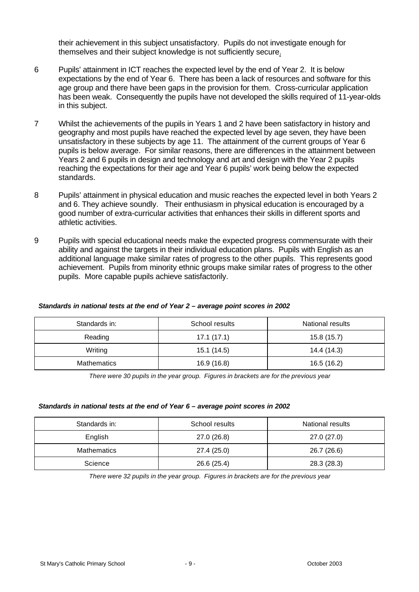their achievement in this subject unsatisfactory. Pupils do not investigate enough for themselves and their subject knowledge is not sufficiently secure.

- 6 Pupils' attainment in ICT reaches the expected level by the end of Year 2. It is below expectations by the end of Year 6. There has been a lack of resources and software for this age group and there have been gaps in the provision for them. Cross-curricular application has been weak. Consequently the pupils have not developed the skills required of 11-year-olds in this subject.
- 7 Whilst the achievements of the pupils in Years 1 and 2 have been satisfactory in history and geography and most pupils have reached the expected level by age seven, they have been unsatisfactory in these subjects by age 11. The attainment of the current groups of Year 6 pupils is below average. For similar reasons, there are differences in the attainment between Years 2 and 6 pupils in design and technology and art and design with the Year 2 pupils reaching the expectations for their age and Year 6 pupils' work being below the expected standards.
- 8 Pupils' attainment in physical education and music reaches the expected level in both Years 2 and 6. They achieve soundly. Their enthusiasm in physical education is encouraged by a good number of extra-curricular activities that enhances their skills in different sports and athletic activities.
- 9 Pupils with special educational needs make the expected progress commensurate with their ability and against the targets in their individual education plans. Pupils with English as an additional language make similar rates of progress to the other pupils. This represents good achievement. Pupils from minority ethnic groups make similar rates of progress to the other pupils. More capable pupils achieve satisfactorily.

| Standards in:      | School results | National results |
|--------------------|----------------|------------------|
| Reading            | 17.1(17.1)     | 15.8(15.7)       |
| Writing            | 15.1 (14.5)    | 14.4 (14.3)      |
| <b>Mathematics</b> | 16.9 (16.8)    | 16.5 (16.2)      |

#### *Standards in national tests at the end of Year 2 – average point scores in 2002*

*There were 30 pupils in the year group. Figures in brackets are for the previous year*

#### *Standards in national tests at the end of Year 6 – average point scores in 2002*

| Standards in:      | School results | National results |
|--------------------|----------------|------------------|
| English            | 27.0 (26.8)    | 27.0 (27.0)      |
| <b>Mathematics</b> | 27.4 (25.0)    | 26.7 (26.6)      |
| Science            | 26.6 (25.4)    | 28.3 (28.3)      |

*There were 32 pupils in the year group. Figures in brackets are for the previous year*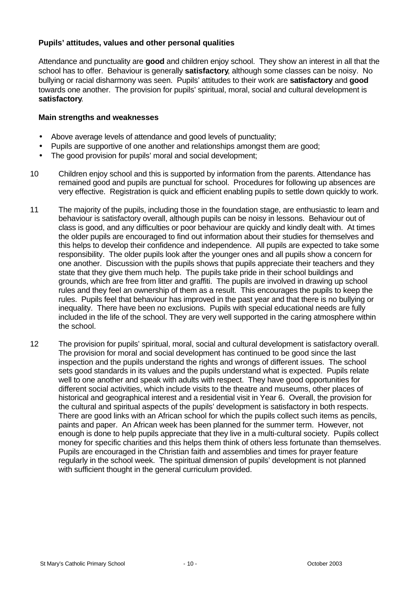## **Pupils' attitudes, values and other personal qualities**

Attendance and punctuality are **good** and children enjoy school. They show an interest in all that the school has to offer. Behaviour is generally **satisfactory**, although some classes can be noisy. No bullying or racial disharmony was seen. Pupils' attitudes to their work are **satisfactory** and **good** towards one another. The provision for pupils' spiritual, moral, social and cultural development is **satisfactory**.

- Above average levels of attendance and good levels of punctuality;
- Pupils are supportive of one another and relationships amongst them are good;
- The good provision for pupils' moral and social development;
- 10 Children enjoy school and this is supported by information from the parents. Attendance has remained good and pupils are punctual for school. Procedures for following up absences are very effective. Registration is quick and efficient enabling pupils to settle down quickly to work.
- 11 The majority of the pupils, including those in the foundation stage, are enthusiastic to learn and behaviour is satisfactory overall, although pupils can be noisy in lessons. Behaviour out of class is good, and any difficulties or poor behaviour are quickly and kindly dealt with. At times the older pupils are encouraged to find out information about their studies for themselves and this helps to develop their confidence and independence. All pupils are expected to take some responsibility. The older pupils look after the younger ones and all pupils show a concern for one another. Discussion with the pupils shows that pupils appreciate their teachers and they state that they give them much help. The pupils take pride in their school buildings and grounds, which are free from litter and graffiti. The pupils are involved in drawing up school rules and they feel an ownership of them as a result. This encourages the pupils to keep the rules. Pupils feel that behaviour has improved in the past year and that there is no bullying or inequality. There have been no exclusions. Pupils with special educational needs are fully included in the life of the school. They are very well supported in the caring atmosphere within the school.
- 12 The provision for pupils' spiritual, moral, social and cultural development is satisfactory overall. The provision for moral and social development has continued to be good since the last inspection and the pupils understand the rights and wrongs of different issues. The school sets good standards in its values and the pupils understand what is expected. Pupils relate well to one another and speak with adults with respect. They have good opportunities for different social activities, which include visits to the theatre and museums, other places of historical and geographical interest and a residential visit in Year 6. Overall, the provision for the cultural and spiritual aspects of the pupils' development is satisfactory in both respects. There are good links with an African school for which the pupils collect such items as pencils, paints and paper. An African week has been planned for the summer term. However, not enough is done to help pupils appreciate that they live in a multi-cultural society. Pupils collect money for specific charities and this helps them think of others less fortunate than themselves. Pupils are encouraged in the Christian faith and assemblies and times for prayer feature regularly in the school week. The spiritual dimension of pupils' development is not planned with sufficient thought in the general curriculum provided.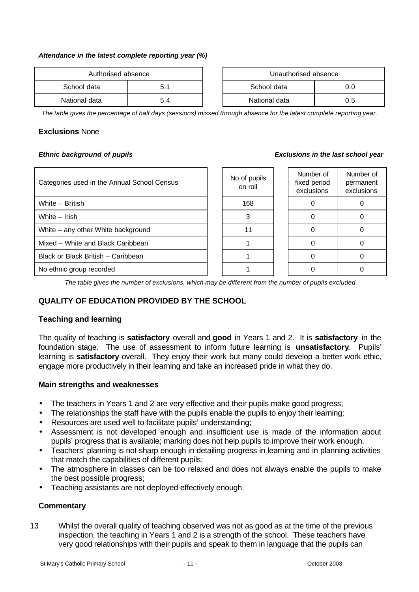#### *Attendance in the latest complete reporting year (%)*

| Authorised absence |     | Unauthorised absence |               |     |  |
|--------------------|-----|----------------------|---------------|-----|--|
| School data        | 5.1 |                      | School data   |     |  |
| National data      | 5.4 |                      | National data | 0.5 |  |

| Unauthorised absence |     |  |  |  |
|----------------------|-----|--|--|--|
| School data          | ი ი |  |  |  |
| National data        | ი 5 |  |  |  |

*The table gives the percentage of half days (sessions) missed through absence for the latest complete reporting year.*

## **Exclusions** None

### *Ethnic background of pupils*

| <b>Exclusions in the last school year</b> |  |  |  |  |
|-------------------------------------------|--|--|--|--|
|-------------------------------------------|--|--|--|--|

| Categories used in the Annual School Census | No of pupils<br>on roll | Number of<br>fixed period<br>exclusions | Number of<br>permanent<br>exclusions |
|---------------------------------------------|-------------------------|-----------------------------------------|--------------------------------------|
| White - British                             | 168                     |                                         |                                      |
| White - Irish                               |                         |                                         |                                      |
| White – any other White background          |                         |                                         |                                      |
| Mixed - White and Black Caribbean           |                         |                                         |                                      |
| Black or Black British - Caribbean          |                         |                                         |                                      |
| No ethnic group recorded                    |                         |                                         |                                      |

*The table gives the number of exclusions, which may be different from the number of pupils excluded.*

# **QUALITY OF EDUCATION PROVIDED BY THE SCHOOL**

### **Teaching and learning**

The quality of teaching is **satisfactory** overall and **good** in Years 1 and 2. It is **satisfactory** in the foundation stage.The use of assessment to inform future learning is **unsatisfactory**.Pupils' learning is **satisfactory** overall. They enjoy their work but many could develop a better work ethic, engage more productively in their learning and take an increased pride in what they do.

### **Main strengths and weaknesses**

- The teachers in Years 1 and 2 are very effective and their pupils make good progress;
- The relationships the staff have with the pupils enable the pupils to enjoy their learning;
- Resources are used well to facilitate pupils' understanding;
- Assessment is not developed enough and insufficient use is made of the information about pupils' progress that is available; marking does not help pupils to improve their work enough.
- Teachers' planning is not sharp enough in detailing progress in learning and in planning activities that match the capabilities of different pupils;
- The atmosphere in classes can be too relaxed and does not always enable the pupils to make the best possible progress;
- Teaching assistants are not deployed effectively enough.

### **Commentary**

13 Whilst the overall quality of teaching observed was not as good as at the time of the previous inspection, the teaching in Years 1 and 2 is a strength of the school. These teachers have very good relationships with their pupils and speak to them in language that the pupils can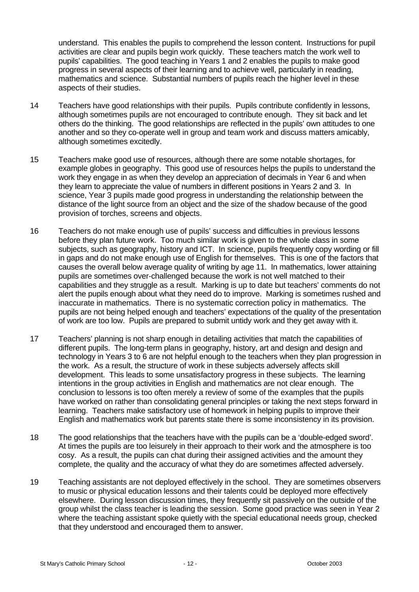understand. This enables the pupils to comprehend the lesson content. Instructions for pupil activities are clear and pupils begin work quickly. These teachers match the work well to pupils' capabilities. The good teaching in Years 1 and 2 enables the pupils to make good progress in several aspects of their learning and to achieve well, particularly in reading, mathematics and science. Substantial numbers of pupils reach the higher level in these aspects of their studies.

- 14 Teachers have good relationships with their pupils. Pupils contribute confidently in lessons, although sometimes pupils are not encouraged to contribute enough. They sit back and let others do the thinking. The good relationships are reflected in the pupils' own attitudes to one another and so they co-operate well in group and team work and discuss matters amicably, although sometimes excitedly.
- 15 Teachers make good use of resources, although there are some notable shortages, for example globes in geography. This good use of resources helps the pupils to understand the work they engage in as when they develop an appreciation of decimals in Year 6 and when they learn to appreciate the value of numbers in different positions in Years 2 and 3. In science, Year 3 pupils made good progress in understanding the relationship between the distance of the light source from an object and the size of the shadow because of the good provision of torches, screens and objects.
- 16 Teachers do not make enough use of pupils' success and difficulties in previous lessons before they plan future work. Too much similar work is given to the whole class in some subjects, such as geography, history and ICT. In science, pupils frequently copy wording or fill in gaps and do not make enough use of English for themselves. This is one of the factors that causes the overall below average quality of writing by age 11. In mathematics, lower attaining pupils are sometimes over-challenged because the work is not well matched to their capabilities and they struggle as a result. Marking is up to date but teachers' comments do not alert the pupils enough about what they need do to improve. Marking is sometimes rushed and inaccurate in mathematics. There is no systematic correction policy in mathematics. The pupils are not being helped enough and teachers' expectations of the quality of the presentation of work are too low. Pupils are prepared to submit untidy work and they get away with it.
- 17 Teachers' planning is not sharp enough in detailing activities that match the capabilities of different pupils. The long-term plans in geography, history, art and design and design and technology in Years 3 to 6 are not helpful enough to the teachers when they plan progression in the work. As a result, the structure of work in these subjects adversely affects skill development. This leads to some unsatisfactory progress in these subjects. The learning intentions in the group activities in English and mathematics are not clear enough. The conclusion to lessons is too often merely a review of some of the examples that the pupils have worked on rather than consolidating general principles or taking the next steps forward in learning. Teachers make satisfactory use of homework in helping pupils to improve their English and mathematics work but parents state there is some inconsistency in its provision.
- 18 The good relationships that the teachers have with the pupils can be a 'double-edged sword'. At times the pupils are too leisurely in their approach to their work and the atmosphere is too cosy. As a result, the pupils can chat during their assigned activities and the amount they complete, the quality and the accuracy of what they do are sometimes affected adversely.
- 19 Teaching assistants are not deployed effectively in the school. They are sometimes observers to music or physical education lessons and their talents could be deployed more effectively elsewhere. During lesson discussion times, they frequently sit passively on the outside of the group whilst the class teacher is leading the session. Some good practice was seen in Year 2 where the teaching assistant spoke quietly with the special educational needs group, checked that they understood and encouraged them to answer.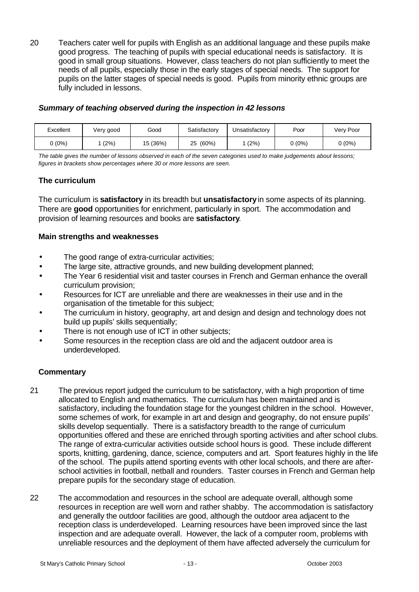20 Teachers cater well for pupils with English as an additional language and these pupils make good progress. The teaching of pupils with special educational needs is satisfactory. It is good in small group situations. However, class teachers do not plan sufficiently to meet the needs of all pupils, especially those in the early stages of special needs. The support for pupils on the latter stages of special needs is good. Pupils from minority ethnic groups are fully included in lessons.

## *Summary of teaching observed during the inspection in 42 lessons*

| Excellent | Very good | Good     | Satisfactory | Unsatisfactory | Poor   | Very Poor |
|-----------|-----------|----------|--------------|----------------|--------|-----------|
| (0%)      | (2%)      | 15 (36%) | (60%)<br>25  | (2%)           | J (0%) | 0 (0%)    |

*The table gives the number of lessons observed in each of the seven categories used to make judgements about lessons; figures in brackets show percentages where 30 or more lessons are seen.*

# **The curriculum**

The curriculum is **satisfactory** in its breadth but **unsatisfactory** in some aspects of its planning. There are **good** opportunities for enrichment, particularly in sport. The accommodation and provision of learning resources and books are **satisfactory**.

## **Main strengths and weaknesses**

- The good range of extra-curricular activities;
- The large site, attractive grounds, and new building development planned;
- The Year 6 residential visit and taster courses in French and German enhance the overall curriculum provision;
- Resources for ICT are unreliable and there are weaknesses in their use and in the organisation of the timetable for this subject;
- The curriculum in history, geography, art and design and design and technology does not build up pupils' skills sequentially;
- There is not enough use of ICT in other subjects;
- Some resources in the reception class are old and the adjacent outdoor area is underdeveloped.

- 21 The previous report judged the curriculum to be satisfactory, with a high proportion of time allocated to English and mathematics. The curriculum has been maintained and is satisfactory, including the foundation stage for the youngest children in the school. However, some schemes of work, for example in art and design and geography, do not ensure pupils' skills develop sequentially. There is a satisfactory breadth to the range of curriculum opportunities offered and these are enriched through sporting activities and after school clubs. The range of extra-curricular activities outside school hours is good. These include different sports, knitting, gardening, dance, science, computers and art. Sport features highly in the life of the school. The pupils attend sporting events with other local schools, and there are afterschool activities in football, netball and rounders. Taster courses in French and German help prepare pupils for the secondary stage of education.
- 22 The accommodation and resources in the school are adequate overall, although some resources in reception are well worn and rather shabby. The accommodation is satisfactory and generally the outdoor facilities are good, although the outdoor area adjacent to the reception class is underdeveloped. Learning resources have been improved since the last inspection and are adequate overall. However, the lack of a computer room, problems with unreliable resources and the deployment of them have affected adversely the curriculum for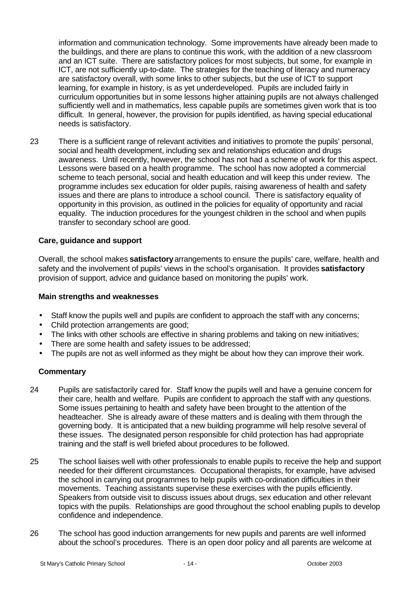information and communication technology. Some improvements have already been made to the buildings, and there are plans to continue this work, with the addition of a new classroom and an ICT suite. There are satisfactory polices for most subjects, but some, for example in ICT, are not sufficiently up-to-date. The strategies for the teaching of literacy and numeracy are satisfactory overall, with some links to other subjects, but the use of ICT to support learning, for example in history, is as yet underdeveloped. Pupils are included fairly in curriculum opportunities but in some lessons higher attaining pupils are not always challenged sufficiently well and in mathematics, less capable pupils are sometimes given work that is too difficult. In general, however, the provision for pupils identified, as having special educational needs is satisfactory.

23 There is a sufficient range of relevant activities and initiatives to promote the pupils' personal, social and health development, including sex and relationships education and drugs awareness. Until recently, however, the school has not had a scheme of work for this aspect. Lessons were based on a health programme. The school has now adopted a commercial scheme to teach personal, social and health education and will keep this under review. The programme includes sex education for older pupils, raising awareness of health and safety issues and there are plans to introduce a school council. There is satisfactory equality of opportunity in this provision, as outlined in the policies for equality of opportunity and racial equality. The induction procedures for the youngest children in the school and when pupils transfer to secondary school are good.

## **Care, guidance and support**

Overall, the school makes **satisfactory** arrangements to ensure the pupils' care, welfare, health and safety and the involvement of pupils' views in the school's organisation. It provides **satisfactory** provision of support, advice and guidance based on monitoring the pupils' work.

#### **Main strengths and weaknesses**

- Staff know the pupils well and pupils are confident to approach the staff with any concerns;
- Child protection arrangements are good;
- The links with other schools are effective in sharing problems and taking on new initiatives;
- There are some health and safety issues to be addressed;
- The pupils are not as well informed as they might be about how they can improve their work.

- 24 Pupils are satisfactorily cared for. Staff know the pupils well and have a genuine concern for their care, health and welfare. Pupils are confident to approach the staff with any questions. Some issues pertaining to health and safety have been brought to the attention of the headteacher. She is already aware of these matters and is dealing with them through the governing body. It is anticipated that a new building programme will help resolve several of these issues. The designated person responsible for child protection has had appropriate training and the staff is well briefed about procedures to be followed.
- 25 The school liaises well with other professionals to enable pupils to receive the help and support needed for their different circumstances. Occupational therapists, for example, have advised the school in carrying out programmes to help pupils with co-ordination difficulties in their movements. Teaching assistants supervise these exercises with the pupils efficiently. Speakers from outside visit to discuss issues about drugs, sex education and other relevant topics with the pupils. Relationships are good throughout the school enabling pupils to develop confidence and independence.
- 26 The school has good induction arrangements for new pupils and parents are well informed about the school's procedures. There is an open door policy and all parents are welcome at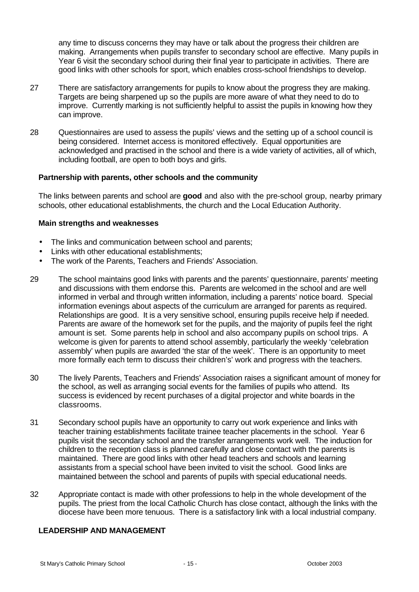any time to discuss concerns they may have or talk about the progress their children are making. Arrangements when pupils transfer to secondary school are effective. Many pupils in Year 6 visit the secondary school during their final year to participate in activities. There are good links with other schools for sport, which enables cross-school friendships to develop.

- 27 There are satisfactory arrangements for pupils to know about the progress they are making. Targets are being sharpened up so the pupils are more aware of what they need to do to improve. Currently marking is not sufficiently helpful to assist the pupils in knowing how they can improve.
- 28 Questionnaires are used to assess the pupils' views and the setting up of a school council is being considered. Internet access is monitored effectively. Equal opportunities are acknowledged and practised in the school and there is a wide variety of activities, all of which, including football, are open to both boys and girls.

#### **Partnership with parents, other schools and the community**

The links between parents and school are **good** and also with the pre-school group, nearby primary schools, other educational establishments, the church and the Local Education Authority.

#### **Main strengths and weaknesses**

- The links and communication between school and parents;
- Links with other educational establishments;
- The work of the Parents, Teachers and Friends' Association.
- 29 The school maintains good links with parents and the parents' questionnaire, parents' meeting and discussions with them endorse this. Parents are welcomed in the school and are well informed in verbal and through written information, including a parents' notice board. Special information evenings about aspects of the curriculum are arranged for parents as required. Relationships are good. It is a very sensitive school, ensuring pupils receive help if needed. Parents are aware of the homework set for the pupils, and the majority of pupils feel the right amount is set. Some parents help in school and also accompany pupils on school trips. A welcome is given for parents to attend school assembly, particularly the weekly 'celebration assembly' when pupils are awarded 'the star of the week'. There is an opportunity to meet more formally each term to discuss their children's' work and progress with the teachers.
- 30 The lively Parents, Teachers and Friends' Association raises a significant amount of money for the school, as well as arranging social events for the families of pupils who attend. Its success is evidenced by recent purchases of a digital projector and white boards in the classrooms.
- 31 Secondary school pupils have an opportunity to carry out work experience and links with teacher training establishments facilitate trainee teacher placements in the school. Year 6 pupils visit the secondary school and the transfer arrangements work well. The induction for children to the reception class is planned carefully and close contact with the parents is maintained. There are good links with other head teachers and schools and learning assistants from a special school have been invited to visit the school. Good links are maintained between the school and parents of pupils with special educational needs.
- 32 Appropriate contact is made with other professions to help in the whole development of the pupils. The priest from the local Catholic Church has close contact, although the links with the diocese have been more tenuous. There is a satisfactory link with a local industrial company.

#### **LEADERSHIP AND MANAGEMENT**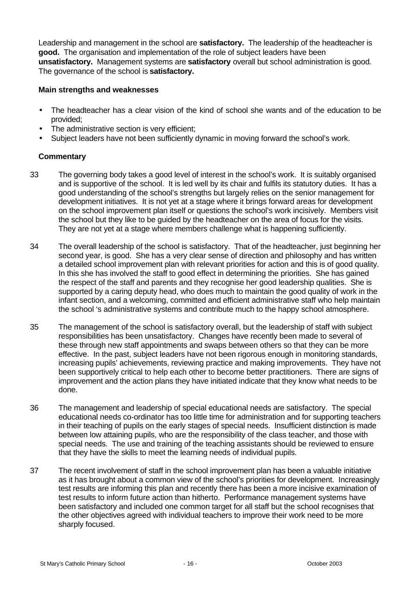Leadership and management in the school are **satisfactory.** The leadership of the headteacher is **good.** The organisation and implementation of the role of subject leaders have been **unsatisfactory.** Management systems are **satisfactory** overall but school administration is good. The governance of the school is **satisfactory.**

#### **Main strengths and weaknesses**

- The headteacher has a clear vision of the kind of school she wants and of the education to be provided;
- The administrative section is very efficient;
- Subject leaders have not been sufficiently dynamic in moving forward the school's work.

- 33 The governing body takes a good level of interest in the school's work. It is suitably organised and is supportive of the school. It is led well by its chair and fulfils its statutory duties. It has a good understanding of the school's strengths but largely relies on the senior management for development initiatives. It is not yet at a stage where it brings forward areas for development on the school improvement plan itself or questions the school's work incisively. Members visit the school but they like to be guided by the headteacher on the area of focus for the visits. They are not yet at a stage where members challenge what is happening sufficiently.
- 34 The overall leadership of the school is satisfactory. That of the headteacher, just beginning her second year, is good. She has a very clear sense of direction and philosophy and has written a detailed school improvement plan with relevant priorities for action and this is of good quality. In this she has involved the staff to good effect in determining the priorities. She has gained the respect of the staff and parents and they recognise her good leadership qualities. She is supported by a caring deputy head, who does much to maintain the good quality of work in the infant section, and a welcoming, committed and efficient administrative staff who help maintain the school 's administrative systems and contribute much to the happy school atmosphere.
- 35 The management of the school is satisfactory overall, but the leadership of staff with subject responsibilities has been unsatisfactory. Changes have recently been made to several of these through new staff appointments and swaps between others so that they can be more effective. In the past, subject leaders have not been rigorous enough in monitoring standards, increasing pupils' achievements, reviewing practice and making improvements. They have not been supportively critical to help each other to become better practitioners. There are signs of improvement and the action plans they have initiated indicate that they know what needs to be done.
- 36 The management and leadership of special educational needs are satisfactory. The special educational needs co-ordinator has too little time for administration and for supporting teachers in their teaching of pupils on the early stages of special needs. Insufficient distinction is made between low attaining pupils, who are the responsibility of the class teacher, and those with special needs. The use and training of the teaching assistants should be reviewed to ensure that they have the skills to meet the learning needs of individual pupils.
- 37 The recent involvement of staff in the school improvement plan has been a valuable initiative as it has brought about a common view of the school's priorities for development. Increasingly test results are informing this plan and recently there has been a more incisive examination of test results to inform future action than hitherto. Performance management systems have been satisfactory and included one common target for all staff but the school recognises that the other objectives agreed with individual teachers to improve their work need to be more sharply focused.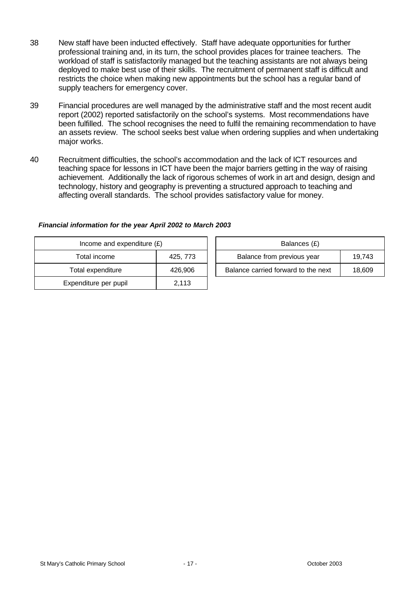- 38 New staff have been inducted effectively. Staff have adequate opportunities for further professional training and, in its turn, the school provides places for trainee teachers. The workload of staff is satisfactorily managed but the teaching assistants are not always being deployed to make best use of their skills. The recruitment of permanent staff is difficult and restricts the choice when making new appointments but the school has a regular band of supply teachers for emergency cover.
- 39 Financial procedures are well managed by the administrative staff and the most recent audit report (2002) reported satisfactorily on the school's systems. Most recommendations have been fulfilled. The school recognises the need to fulfil the remaining recommendation to have an assets review. The school seeks best value when ordering supplies and when undertaking major works.
- 40 Recruitment difficulties, the school's accommodation and the lack of ICT resources and teaching space for lessons in ICT have been the major barriers getting in the way of raising achievement. Additionally the lack of rigorous schemes of work in art and design, design and technology, history and geography is preventing a structured approach to teaching and affecting overall standards. The school provides satisfactory value for money.

| Income and expenditure $(E)$ |          | Balances (£)                        |        |
|------------------------------|----------|-------------------------------------|--------|
| Total income                 | 425, 773 | Balance from previous year          | 19.743 |
| Total expenditure            | 426.906  | Balance carried forward to the next | 18,609 |
| Expenditure per pupil        | 2,113    |                                     |        |

### *Financial information for the year April 2002 to March 2003*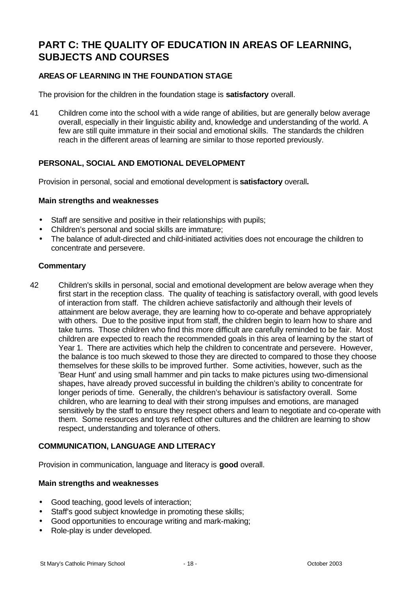# **PART C: THE QUALITY OF EDUCATION IN AREAS OF LEARNING, SUBJECTS AND COURSES**

# **AREAS OF LEARNING IN THE FOUNDATION STAGE**

The provision for the children in the foundation stage is **satisfactory** overall.

41 Children come into the school with a wide range of abilities, but are generally below average overall, especially in their linguistic ability and, knowledge and understanding of the world. A few are still quite immature in their social and emotional skills. The standards the children reach in the different areas of learning are similar to those reported previously.

## **PERSONAL, SOCIAL AND EMOTIONAL DEVELOPMENT**

Provision in personal, social and emotional development is **satisfactory** overall**.**

#### **Main strengths and weaknesses**

- Staff are sensitive and positive in their relationships with pupils;
- Children's personal and social skills are immature;
- The balance of adult-directed and child-initiated activities does not encourage the children to concentrate and persevere.

### **Commentary**

42 Children's skills in personal, social and emotional development are below average when they first start in the reception class. The quality of teaching is satisfactory overall, with good levels of interaction from staff. The children achieve satisfactorily and although their levels of attainment are below average, they are learning how to co-operate and behave appropriately with others. Due to the positive input from staff, the children begin to learn how to share and take turns. Those children who find this more difficult are carefully reminded to be fair. Most children are expected to reach the recommended goals in this area of learning by the start of Year 1. There are activities which help the children to concentrate and persevere. However, the balance is too much skewed to those they are directed to compared to those they choose themselves for these skills to be improved further. Some activities, however, such as the 'Bear Hunt' and using small hammer and pin tacks to make pictures using two-dimensional shapes, have already proved successful in building the children's ability to concentrate for longer periods of time. Generally, the children's behaviour is satisfactory overall. Some children, who are learning to deal with their strong impulses and emotions, are managed sensitively by the staff to ensure they respect others and learn to negotiate and co-operate with them. Some resources and toys reflect other cultures and the children are learning to show respect, understanding and tolerance of others.

### **COMMUNICATION, LANGUAGE AND LITERACY**

Provision in communication, language and literacy is **good** overall.

- Good teaching, good levels of interaction;
- Staff's good subject knowledge in promoting these skills;
- Good opportunities to encourage writing and mark-making;
- Role-play is under developed.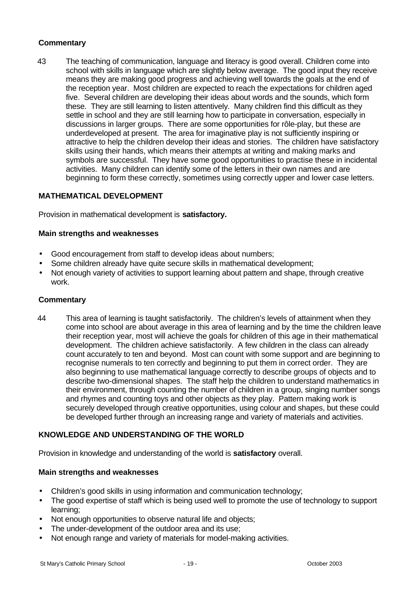43 The teaching of communication, language and literacy is good overall. Children come into school with skills in language which are slightly below average. The good input they receive means they are making good progress and achieving well towards the goals at the end of the reception year. Most children are expected to reach the expectations for children aged five. Several children are developing their ideas about words and the sounds, which form these. They are still learning to listen attentively. Many children find this difficult as they settle in school and they are still learning how to participate in conversation, especially in discussions in larger groups. There are some opportunities for rôle-play, but these are underdeveloped at present. The area for imaginative play is not sufficiently inspiring or attractive to help the children develop their ideas and stories. The children have satisfactory skills using their hands, which means their attempts at writing and making marks and symbols are successful. They have some good opportunities to practise these in incidental activities. Many children can identify some of the letters in their own names and are beginning to form these correctly, sometimes using correctly upper and lower case letters.

## **MATHEMATICAL DEVELOPMENT**

Provision in mathematical development is **satisfactory.**

#### **Main strengths and weaknesses**

- Good encouragement from staff to develop ideas about numbers;
- Some children already have quite secure skills in mathematical development;
- Not enough variety of activities to support learning about pattern and shape, through creative work.

#### **Commentary**

44 This area of learning is taught satisfactorily. The children's levels of attainment when they come into school are about average in this area of learning and by the time the children leave their reception year, most will achieve the goals for children of this age in their mathematical development. The children achieve satisfactorily. A few children in the class can already count accurately to ten and beyond. Most can count with some support and are beginning to recognise numerals to ten correctly and beginning to put them in correct order. They are also beginning to use mathematical language correctly to describe groups of objects and to describe two-dimensional shapes. The staff help the children to understand mathematics in their environment, through counting the number of children in a group, singing number songs and rhymes and counting toys and other objects as they play. Pattern making work is securely developed through creative opportunities, using colour and shapes, but these could be developed further through an increasing range and variety of materials and activities.

### **KNOWLEDGE AND UNDERSTANDING OF THE WORLD**

Provision in knowledge and understanding of the world is **satisfactory** overall.

- Children's good skills in using information and communication technology;
- The good expertise of staff which is being used well to promote the use of technology to support learning;
- Not enough opportunities to observe natural life and objects;
- The under-development of the outdoor area and its use;
- Not enough range and variety of materials for model-making activities.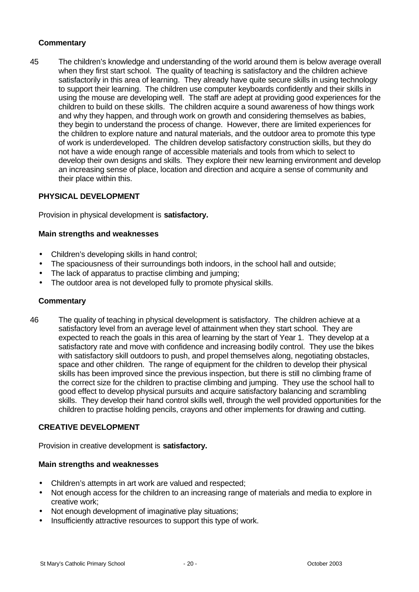45 The children's knowledge and understanding of the world around them is below average overall when they first start school. The quality of teaching is satisfactory and the children achieve satisfactorily in this area of learning. They already have quite secure skills in using technology to support their learning. The children use computer keyboards confidently and their skills in using the mouse are developing well. The staff are adept at providing good experiences for the children to build on these skills. The children acquire a sound awareness of how things work and why they happen, and through work on growth and considering themselves as babies, they begin to understand the process of change. However, there are limited experiences for the children to explore nature and natural materials, and the outdoor area to promote this type of work is underdeveloped. The children develop satisfactory construction skills, but they do not have a wide enough range of accessible materials and tools from which to select to develop their own designs and skills. They explore their new learning environment and develop an increasing sense of place, location and direction and acquire a sense of community and their place within this.

## **PHYSICAL DEVELOPMENT**

Provision in physical development is **satisfactory.**

### **Main strengths and weaknesses**

- Children's developing skills in hand control;
- The spaciousness of their surroundings both indoors, in the school hall and outside;
- The lack of apparatus to practise climbing and jumping;
- The outdoor area is not developed fully to promote physical skills.

#### **Commentary**

46 The quality of teaching in physical development is satisfactory. The children achieve at a satisfactory level from an average level of attainment when they start school. They are expected to reach the goals in this area of learning by the start of Year 1. They develop at a satisfactory rate and move with confidence and increasing bodily control. They use the bikes with satisfactory skill outdoors to push, and propel themselves along, negotiating obstacles, space and other children. The range of equipment for the children to develop their physical skills has been improved since the previous inspection, but there is still no climbing frame of the correct size for the children to practise climbing and jumping. They use the school hall to good effect to develop physical pursuits and acquire satisfactory balancing and scrambling skills. They develop their hand control skills well, through the well provided opportunities for the children to practise holding pencils, crayons and other implements for drawing and cutting.

### **CREATIVE DEVELOPMENT**

Provision in creative development is **satisfactory.**

- Children's attempts in art work are valued and respected;
- Not enough access for the children to an increasing range of materials and media to explore in creative work;
- Not enough development of imaginative play situations;
- Insufficiently attractive resources to support this type of work.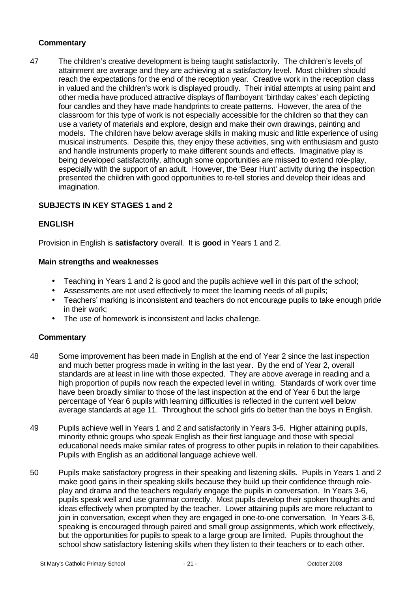47 The children's creative development is being taught satisfactorily. The children's levels of attainment are average and they are achieving at a satisfactory level. Most children should reach the expectations for the end of the reception year. Creative work in the reception class in valued and the children's work is displayed proudly. Their initial attempts at using paint and other media have produced attractive displays of flamboyant 'birthday cakes' each depicting four candles and they have made handprints to create patterns. However, the area of the classroom for this type of work is not especially accessible for the children so that they can use a variety of materials and explore, design and make their own drawings, painting and models. The children have below average skills in making music and little experience of using musical instruments. Despite this, they enjoy these activities, sing with enthusiasm and gusto and handle instruments properly to make different sounds and effects. Imaginative play is being developed satisfactorily, although some opportunities are missed to extend role-play, especially with the support of an adult. However, the 'Bear Hunt' activity during the inspection presented the children with good opportunities to re-tell stories and develop their ideas and imagination.

# **SUBJECTS IN KEY STAGES 1 and 2**

## **ENGLISH**

Provision in English is **satisfactory** overall. It is **good** in Years 1 and 2.

#### **Main strengths and weaknesses**

- Teaching in Years 1 and 2 is good and the pupils achieve well in this part of the school;
- Assessments are not used effectively to meet the learning needs of all pupils;
- Teachers' marking is inconsistent and teachers do not encourage pupils to take enough pride in their work;
- The use of homework is inconsistent and lacks challenge.

- 48 Some improvement has been made in English at the end of Year 2 since the last inspection and much better progress made in writing in the last year. By the end of Year 2, overall standards are at least in line with those expected. They are above average in reading and a high proportion of pupils now reach the expected level in writing. Standards of work over time have been broadly similar to those of the last inspection at the end of Year 6 but the large percentage of Year 6 pupils with learning difficulties is reflected in the current well below average standards at age 11. Throughout the school girls do better than the boys in English.
- 49 Pupils achieve well in Years 1 and 2 and satisfactorily in Years 3-6. Higher attaining pupils, minority ethnic groups who speak English as their first language and those with special educational needs make similar rates of progress to other pupils in relation to their capabilities. Pupils with English as an additional language achieve well.
- 50 Pupils make satisfactory progress in their speaking and listening skills. Pupils in Years 1 and 2 make good gains in their speaking skills because they build up their confidence through roleplay and drama and the teachers regularly engage the pupils in conversation. In Years 3-6, pupils speak well and use grammar correctly. Most pupils develop their spoken thoughts and ideas effectively when prompted by the teacher. Lower attaining pupils are more reluctant to join in conversation, except when they are engaged in one-to-one conversation. In Years 3-6, speaking is encouraged through paired and small group assignments, which work effectively, but the opportunities for pupils to speak to a large group are limited. Pupils throughout the school show satisfactory listening skills when they listen to their teachers or to each other.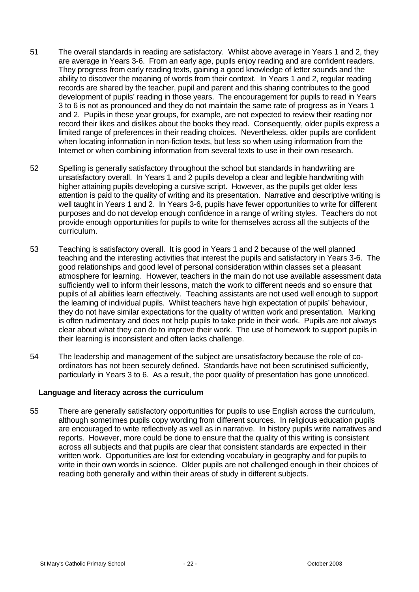- 51 The overall standards in reading are satisfactory. Whilst above average in Years 1 and 2, they are average in Years 3-6. From an early age, pupils enjoy reading and are confident readers. They progress from early reading texts, gaining a good knowledge of letter sounds and the ability to discover the meaning of words from their context. In Years 1 and 2, regular reading records are shared by the teacher, pupil and parent and this sharing contributes to the good development of pupils' reading in those years. The encouragement for pupils to read in Years 3 to 6 is not as pronounced and they do not maintain the same rate of progress as in Years 1 and 2. Pupils in these year groups, for example, are not expected to review their reading nor record their likes and dislikes about the books they read. Consequently, older pupils express a limited range of preferences in their reading choices. Nevertheless, older pupils are confident when locating information in non-fiction texts, but less so when using information from the Internet or when combining information from several texts to use in their own research.
- 52 Spelling is generally satisfactory throughout the school but standards in handwriting are unsatisfactory overall. In Years 1 and 2 pupils develop a clear and legible handwriting with higher attaining pupils developing a cursive script. However, as the pupils get older less attention is paid to the quality of writing and its presentation. Narrative and descriptive writing is well taught in Years 1 and 2. In Years 3-6, pupils have fewer opportunities to write for different purposes and do not develop enough confidence in a range of writing styles. Teachers do not provide enough opportunities for pupils to write for themselves across all the subjects of the curriculum.
- 53 Teaching is satisfactory overall. It is good in Years 1 and 2 because of the well planned teaching and the interesting activities that interest the pupils and satisfactory in Years 3-6. The good relationships and good level of personal consideration within classes set a pleasant atmosphere for learning. However, teachers in the main do not use available assessment data sufficiently well to inform their lessons, match the work to different needs and so ensure that pupils of all abilities learn effectively. Teaching assistants are not used well enough to support the learning of individual pupils. Whilst teachers have high expectation of pupils' behaviour, they do not have similar expectations for the quality of written work and presentation. Marking is often rudimentary and does not help pupils to take pride in their work. Pupils are not always clear about what they can do to improve their work. The use of homework to support pupils in their learning is inconsistent and often lacks challenge.
- 54 The leadership and management of the subject are unsatisfactory because the role of coordinators has not been securely defined. Standards have not been scrutinised sufficiently, particularly in Years 3 to 6. As a result, the poor quality of presentation has gone unnoticed.

### **Language and literacy across the curriculum**

55 There are generally satisfactory opportunities for pupils to use English across the curriculum, although sometimes pupils copy wording from different sources. In religious education pupils are encouraged to write reflectively as well as in narrative. In history pupils write narratives and reports. However, more could be done to ensure that the quality of this writing is consistent across all subjects and that pupils are clear that consistent standards are expected in their written work. Opportunities are lost for extending vocabulary in geography and for pupils to write in their own words in science. Older pupils are not challenged enough in their choices of reading both generally and within their areas of study in different subjects.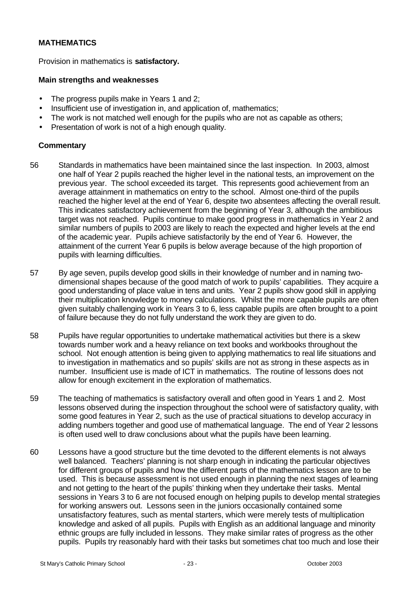# **MATHEMATICS**

Provision in mathematics is **satisfactory.**

#### **Main strengths and weaknesses**

- The progress pupils make in Years 1 and 2;
- Insufficient use of investigation in, and application of, mathematics;
- The work is not matched well enough for the pupils who are not as capable as others;
- Presentation of work is not of a high enough quality.

- 56 Standards in mathematics have been maintained since the last inspection. In 2003, almost one half of Year 2 pupils reached the higher level in the national tests, an improvement on the previous year. The school exceeded its target. This represents good achievement from an average attainment in mathematics on entry to the school. Almost one-third of the pupils reached the higher level at the end of Year 6, despite two absentees affecting the overall result. This indicates satisfactory achievement from the beginning of Year 3, although the ambitious target was not reached. Pupils continue to make good progress in mathematics in Year 2 and similar numbers of pupils to 2003 are likely to reach the expected and higher levels at the end of the academic year. Pupils achieve satisfactorily by the end of Year 6. However, the attainment of the current Year 6 pupils is below average because of the high proportion of pupils with learning difficulties.
- 57 By age seven, pupils develop good skills in their knowledge of number and in naming twodimensional shapes because of the good match of work to pupils' capabilities. They acquire a good understanding of place value in tens and units. Year 2 pupils show good skill in applying their multiplication knowledge to money calculations. Whilst the more capable pupils are often given suitably challenging work in Years 3 to 6, less capable pupils are often brought to a point of failure because they do not fully understand the work they are given to do.
- 58 Pupils have regular opportunities to undertake mathematical activities but there is a skew towards number work and a heavy reliance on text books and workbooks throughout the school. Not enough attention is being given to applying mathematics to real life situations and to investigation in mathematics and so pupils' skills are not as strong in these aspects as in number. Insufficient use is made of ICT in mathematics. The routine of lessons does not allow for enough excitement in the exploration of mathematics.
- 59 The teaching of mathematics is satisfactory overall and often good in Years 1 and 2. Most lessons observed during the inspection throughout the school were of satisfactory quality, with some good features in Year 2, such as the use of practical situations to develop accuracy in adding numbers together and good use of mathematical language. The end of Year 2 lessons is often used well to draw conclusions about what the pupils have been learning.
- 60 Lessons have a good structure but the time devoted to the different elements is not always well balanced. Teachers' planning is not sharp enough in indicating the particular objectives for different groups of pupils and how the different parts of the mathematics lesson are to be used. This is because assessment is not used enough in planning the next stages of learning and not getting to the heart of the pupils' thinking when they undertake their tasks. Mental sessions in Years 3 to 6 are not focused enough on helping pupils to develop mental strategies for working answers out. Lessons seen in the juniors occasionally contained some unsatisfactory features, such as mental starters, which were merely tests of multiplication knowledge and asked of all pupils. Pupils with English as an additional language and minority ethnic groups are fully included in lessons. They make similar rates of progress as the other pupils. Pupils try reasonably hard with their tasks but sometimes chat too much and lose their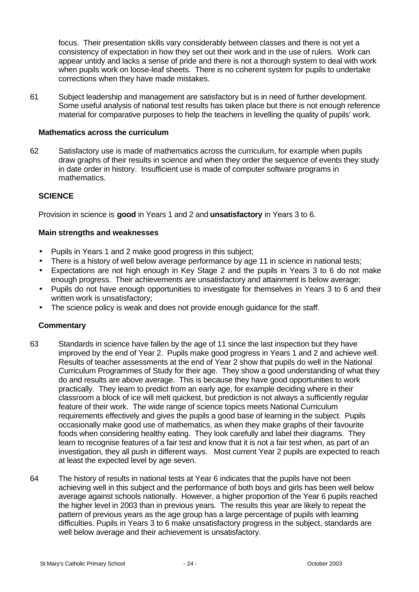focus. Their presentation skills vary considerably between classes and there is not yet a consistency of expectation in how they set out their work and in the use of rulers. Work can appear untidy and lacks a sense of pride and there is not a thorough system to deal with work when pupils work on loose-leaf sheets. There is no coherent system for pupils to undertake corrections when they have made mistakes.

61 Subject leadership and management are satisfactory but is in need of further development. Some useful analysis of national test results has taken place but there is not enough reference material for comparative purposes to help the teachers in levelling the quality of pupils' work.

#### **Mathematics across the curriculum**

62 Satisfactory use is made of mathematics across the curriculum, for example when pupils draw graphs of their results in science and when they order the sequence of events they study in date order in history. Insufficient use is made of computer software programs in mathematics.

### **SCIENCE**

Provision in science is **good** in Years 1 and 2 and **unsatisfactory** in Years 3 to 6.

### **Main strengths and weaknesses**

- Pupils in Years 1 and 2 make good progress in this subject;
- There is a history of well below average performance by age 11 in science in national tests;
- Expectations are not high enough in Key Stage 2 and the pupils in Years 3 to 6 do not make enough progress. Their achievements are unsatisfactory and attainment is below average;
- Pupils do not have enough opportunities to investigate for themselves in Years 3 to 6 and their written work is unsatisfactory;
- The science policy is weak and does not provide enough guidance for the staff.

- 63 Standards in science have fallen by the age of 11 since the last inspection but they have improved by the end of Year 2. Pupils make good progress in Years 1 and 2 and achieve well. Results of teacher assessments at the end of Year 2 show that pupils do well in the National Curriculum Programmes of Study for their age. They show a good understanding of what they do and results are above average. This is because they have good opportunities to work practically. They learn to predict from an early age, for example deciding where in their classroom a block of ice will melt quickest, but prediction is not always a sufficiently regular feature of their work. The wide range of science topics meets National Curriculum requirements effectively and gives the pupils a good base of learning in the subject. Pupils occasionally make good use of mathematics, as when they make graphs of their favourite foods when considering healthy eating. They look carefully and label their diagrams. They learn to recognise features of a fair test and know that it is not a fair test when, as part of an investigation, they all push in different ways. Most current Year 2 pupils are expected to reach at least the expected level by age seven.
- 64 The history of results in national tests at Year 6 indicates that the pupils have not been achieving well in this subject and the performance of both boys and girls has been well below average against schools nationally. However, a higher proportion of the Year 6 pupils reached the higher level in 2003 than in previous years. The results this year are likely to repeat the pattern of previous years as the age group has a large percentage of pupils with learning difficulties. Pupils in Years 3 to 6 make unsatisfactory progress in the subject, standards are well below average and their achievement is unsatisfactory.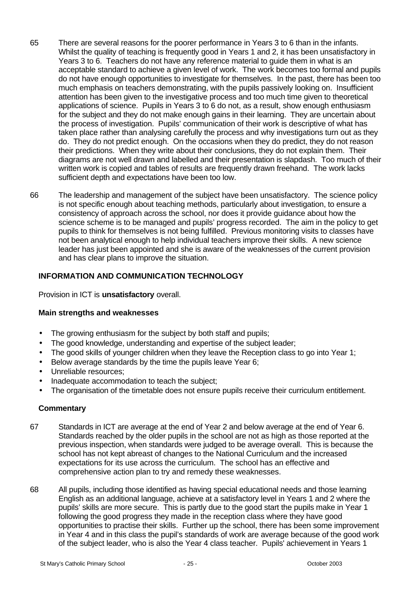- 65 There are several reasons for the poorer performance in Years 3 to 6 than in the infants. Whilst the quality of teaching is frequently good in Years 1 and 2, it has been unsatisfactory in Years 3 to 6. Teachers do not have any reference material to guide them in what is an acceptable standard to achieve a given level of work. The work becomes too formal and pupils do not have enough opportunities to investigate for themselves. In the past, there has been too much emphasis on teachers demonstrating, with the pupils passively looking on. Insufficient attention has been given to the investigative process and too much time given to theoretical applications of science. Pupils in Years 3 to 6 do not, as a result, show enough enthusiasm for the subject and they do not make enough gains in their learning. They are uncertain about the process of investigation. Pupils' communication of their work is descriptive of what has taken place rather than analysing carefully the process and why investigations turn out as they do. They do not predict enough. On the occasions when they do predict, they do not reason their predictions. When they write about their conclusions, they do not explain them. Their diagrams are not well drawn and labelled and their presentation is slapdash. Too much of their written work is copied and tables of results are frequently drawn freehand. The work lacks sufficient depth and expectations have been too low.
- 66 The leadership and management of the subject have been unsatisfactory. The science policy is not specific enough about teaching methods, particularly about investigation, to ensure a consistency of approach across the school, nor does it provide guidance about how the science scheme is to be managed and pupils' progress recorded. The aim in the policy to get pupils to think for themselves is not being fulfilled. Previous monitoring visits to classes have not been analytical enough to help individual teachers improve their skills. A new science leader has just been appointed and she is aware of the weaknesses of the current provision and has clear plans to improve the situation.

# **INFORMATION AND COMMUNICATION TECHNOLOGY**

Provision in ICT is **unsatisfactory** overall.

### **Main strengths and weaknesses**

- The growing enthusiasm for the subject by both staff and pupils;
- The good knowledge, understanding and expertise of the subject leader:
- The good skills of younger children when they leave the Reception class to go into Year 1;
- Below average standards by the time the pupils leave Year 6;
- Unreliable resources;
- Inadequate accommodation to teach the subject;
- The organisation of the timetable does not ensure pupils receive their curriculum entitlement.

- 67 Standards in ICT are average at the end of Year 2 and below average at the end of Year 6. Standards reached by the older pupils in the school are not as high as those reported at the previous inspection, when standards were judged to be average overall. This is because the school has not kept abreast of changes to the National Curriculum and the increased expectations for its use across the curriculum. The school has an effective and comprehensive action plan to try and remedy these weaknesses.
- 68 All pupils, including those identified as having special educational needs and those learning English as an additional language, achieve at a satisfactory level in Years 1 and 2 where the pupils' skills are more secure. This is partly due to the good start the pupils make in Year 1 following the good progress they made in the reception class where they have good opportunities to practise their skills. Further up the school, there has been some improvement in Year 4 and in this class the pupil's standards of work are average because of the good work of the subject leader, who is also the Year 4 class teacher. Pupils' achievement in Years 1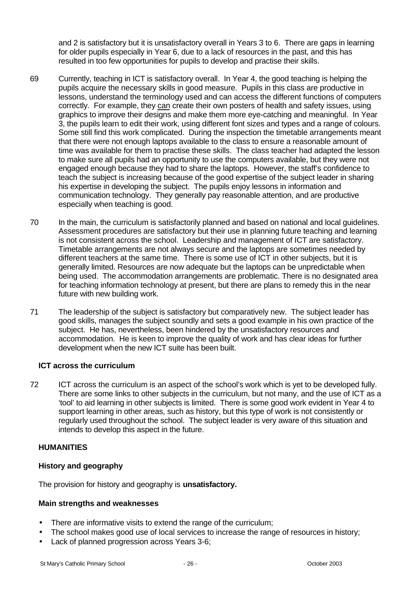and 2 is satisfactory but it is unsatisfactory overall in Years 3 to 6. There are gaps in learning for older pupils especially in Year 6, due to a lack of resources in the past, and this has resulted in too few opportunities for pupils to develop and practise their skills.

- 69 Currently, teaching in ICT is satisfactory overall. In Year 4, the good teaching is helping the pupils acquire the necessary skills in good measure. Pupils in this class are productive in lessons, understand the terminology used and can access the different functions of computers correctly. For example, they can create their own posters of health and safety issues, using graphics to improve their designs and make them more eye-catching and meaningful. In Year 3, the pupils learn to edit their work, using different font sizes and types and a range of colours. Some still find this work complicated. During the inspection the timetable arrangements meant that there were not enough laptops available to the class to ensure a reasonable amount of time was available for them to practise these skills. The class teacher had adapted the lesson to make sure all pupils had an opportunity to use the computers available, but they were not engaged enough because they had to share the laptops. However, the staff's confidence to teach the subject is increasing because of the good expertise of the subject leader in sharing his expertise in developing the subject. The pupils enjoy lessons in information and communication technology. They generally pay reasonable attention, and are productive especially when teaching is good.
- 70 In the main, the curriculum is satisfactorily planned and based on national and local guidelines. Assessment procedures are satisfactory but their use in planning future teaching and learning is not consistent across the school. Leadership and management of ICT are satisfactory. Timetable arrangements are not always secure and the laptops are sometimes needed by different teachers at the same time. There is some use of ICT in other subjects, but it is generally limited. Resources are now adequate but the laptops can be unpredictable when being used. The accommodation arrangements are problematic. There is no designated area for teaching information technology at present, but there are plans to remedy this in the near future with new building work.
- 71 The leadership of the subject is satisfactory but comparatively new. The subject leader has good skills, manages the subject soundly and sets a good example in his own practice of the subject. He has, nevertheless, been hindered by the unsatisfactory resources and accommodation. He is keen to improve the quality of work and has clear ideas for further development when the new ICT suite has been built.

### **ICT across the curriculum**

72 ICT across the curriculum is an aspect of the school's work which is yet to be developed fully. There are some links to other subjects in the curriculum, but not many, and the use of ICT as a 'tool' to aid learning in other subjects is limited. There is some good work evident in Year 4 to support learning in other areas, such as history, but this type of work is not consistently or regularly used throughout the school. The subject leader is very aware of this situation and intends to develop this aspect in the future.

# **HUMANITIES**

# **History and geography**

The provision for history and geography is **unsatisfactory.**

- There are informative visits to extend the range of the curriculum;
- The school makes good use of local services to increase the range of resources in history;
- Lack of planned progression across Years 3-6;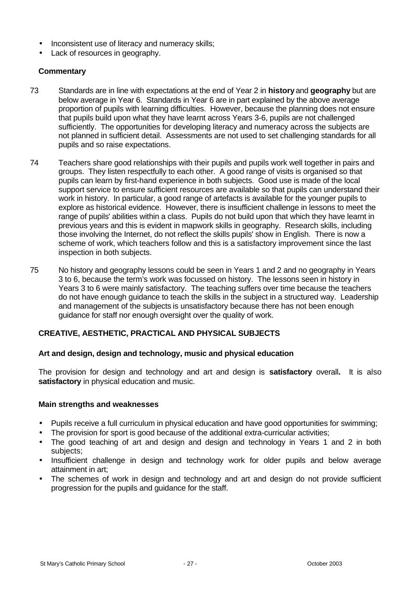- Inconsistent use of literacy and numeracy skills;
- Lack of resources in geography.

- 73 Standards are in line with expectations at the end of Year 2 in **history** and **geography** but are below average in Year 6. Standards in Year 6 are in part explained by the above average proportion of pupils with learning difficulties. However, because the planning does not ensure that pupils build upon what they have learnt across Years 3-6, pupils are not challenged sufficiently. The opportunities for developing literacy and numeracy across the subjects are not planned in sufficient detail. Assessments are not used to set challenging standards for all pupils and so raise expectations.
- 74 Teachers share good relationships with their pupils and pupils work well together in pairs and groups. They listen respectfully to each other. A good range of visits is organised so that pupils can learn by first-hand experience in both subjects. Good use is made of the local support service to ensure sufficient resources are available so that pupils can understand their work in history. In particular, a good range of artefacts is available for the younger pupils to explore as historical evidence. However, there is insufficient challenge in lessons to meet the range of pupils' abilities within a class. Pupils do not build upon that which they have learnt in previous years and this is evident in mapwork skills in geography. Research skills, including those involving the Internet, do not reflect the skills pupils' show in English. There is now a scheme of work, which teachers follow and this is a satisfactory improvement since the last inspection in both subjects.
- 75 No history and geography lessons could be seen in Years 1 and 2 and no geography in Years 3 to 6, because the term's work was focussed on history. The lessons seen in history in Years 3 to 6 were mainly satisfactory. The teaching suffers over time because the teachers do not have enough guidance to teach the skills in the subject in a structured way. Leadership and management of the subjects is unsatisfactory because there has not been enough guidance for staff nor enough oversight over the quality of work.

# **CREATIVE, AESTHETIC, PRACTICAL AND PHYSICAL SUBJECTS**

### **Art and design, design and technology, music and physical education**

The provision for design and technology and art and design is **satisfactory** overall**.** It is also **satisfactory** in physical education and music.

- Pupils receive a full curriculum in physical education and have good opportunities for swimming;
- The provision for sport is good because of the additional extra-curricular activities;
- The good teaching of art and design and design and technology in Years 1 and 2 in both subjects:
- Insufficient challenge in design and technology work for older pupils and below average attainment in art;
- The schemes of work in design and technology and art and design do not provide sufficient progression for the pupils and guidance for the staff.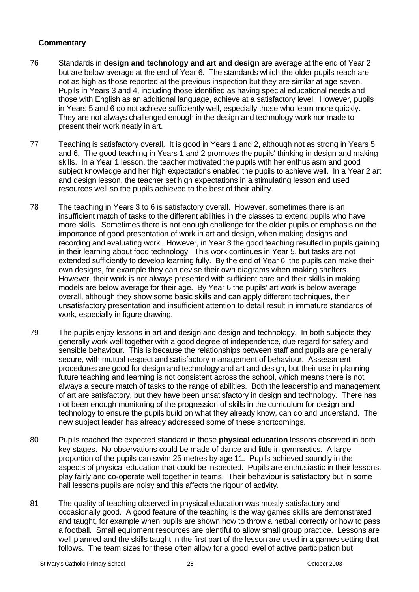- 76 Standards in **design and technology and art and design** are average at the end of Year 2 but are below average at the end of Year 6. The standards which the older pupils reach are not as high as those reported at the previous inspection but they are similar at age seven. Pupils in Years 3 and 4, including those identified as having special educational needs and those with English as an additional language, achieve at a satisfactory level. However, pupils in Years 5 and 6 do not achieve sufficiently well, especially those who learn more quickly. They are not always challenged enough in the design and technology work nor made to present their work neatly in art.
- 77 Teaching is satisfactory overall. It is good in Years 1 and 2, although not as strong in Years 5 and 6. The good teaching in Years 1 and 2 promotes the pupils' thinking in design and making skills. In a Year 1 lesson, the teacher motivated the pupils with her enthusiasm and good subject knowledge and her high expectations enabled the pupils to achieve well. In a Year 2 art and design lesson, the teacher set high expectations in a stimulating lesson and used resources well so the pupils achieved to the best of their ability.
- 78 The teaching in Years 3 to 6 is satisfactory overall. However, sometimes there is an insufficient match of tasks to the different abilities in the classes to extend pupils who have more skills. Sometimes there is not enough challenge for the older pupils or emphasis on the importance of good presentation of work in art and design, when making designs and recording and evaluating work. However, in Year 3 the good teaching resulted in pupils gaining in their learning about food technology. This work continues in Year 5, but tasks are not extended sufficiently to develop learning fully. By the end of Year 6, the pupils can make their own designs, for example they can devise their own diagrams when making shelters. However, their work is not always presented with sufficient care and their skills in making models are below average for their age. By Year 6 the pupils' art work is below average overall, although they show some basic skills and can apply different techniques, their unsatisfactory presentation and insufficient attention to detail result in immature standards of work, especially in figure drawing.
- 79 The pupils enjoy lessons in art and design and design and technology. In both subjects they generally work well together with a good degree of independence, due regard for safety and sensible behaviour. This is because the relationships between staff and pupils are generally secure, with mutual respect and satisfactory management of behaviour. Assessment procedures are good for design and technology and art and design, but their use in planning future teaching and learning is not consistent across the school, which means there is not always a secure match of tasks to the range of abilities. Both the leadership and management of art are satisfactory, but they have been unsatisfactory in design and technology. There has not been enough monitoring of the progression of skills in the curriculum for design and technology to ensure the pupils build on what they already know, can do and understand. The new subject leader has already addressed some of these shortcomings.
- 80 Pupils reached the expected standard in those **physical education** lessons observed in both key stages. No observations could be made of dance and little in gymnastics. A large proportion of the pupils can swim 25 metres by age 11. Pupils achieved soundly in the aspects of physical education that could be inspected. Pupils are enthusiastic in their lessons, play fairly and co-operate well together in teams. Their behaviour is satisfactory but in some hall lessons pupils are noisy and this affects the rigour of activity.
- 81 The quality of teaching observed in physical education was mostly satisfactory and occasionally good. A good feature of the teaching is the way games skills are demonstrated and taught, for example when pupils are shown how to throw a netball correctly or how to pass a football. Small equipment resources are plentiful to allow small group practice. Lessons are well planned and the skills taught in the first part of the lesson are used in a games setting that follows. The team sizes for these often allow for a good level of active participation but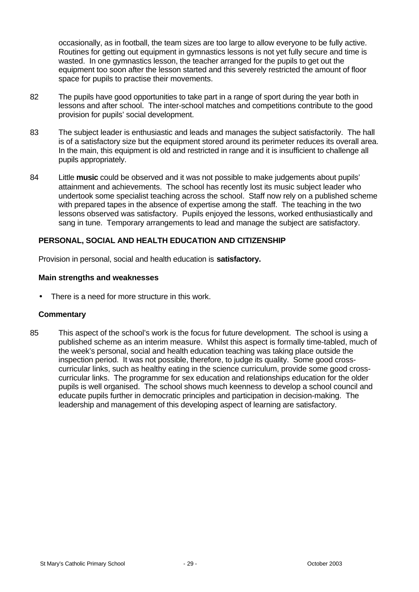occasionally, as in football, the team sizes are too large to allow everyone to be fully active. Routines for getting out equipment in gymnastics lessons is not yet fully secure and time is wasted. In one gymnastics lesson, the teacher arranged for the pupils to get out the equipment too soon after the lesson started and this severely restricted the amount of floor space for pupils to practise their movements.

- 82 The pupils have good opportunities to take part in a range of sport during the year both in lessons and after school. The inter-school matches and competitions contribute to the good provision for pupils' social development.
- 83 The subject leader is enthusiastic and leads and manages the subject satisfactorily. The hall is of a satisfactory size but the equipment stored around its perimeter reduces its overall area. In the main, this equipment is old and restricted in range and it is insufficient to challenge all pupils appropriately.
- 84 Little **music** could be observed and it was not possible to make judgements about pupils' attainment and achievements. The school has recently lost its music subject leader who undertook some specialist teaching across the school. Staff now rely on a published scheme with prepared tapes in the absence of expertise among the staff. The teaching in the two lessons observed was satisfactory. Pupils enjoyed the lessons, worked enthusiastically and sang in tune. Temporary arrangements to lead and manage the subject are satisfactory.

## **PERSONAL, SOCIAL AND HEALTH EDUCATION AND CITIZENSHIP**

Provision in personal, social and health education is **satisfactory.**

### **Main strengths and weaknesses**

There is a need for more structure in this work.

### **Commentary**

85 This aspect of the school's work is the focus for future development. The school is using a published scheme as an interim measure. Whilst this aspect is formally time-tabled, much of the week's personal, social and health education teaching was taking place outside the inspection period. It was not possible, therefore, to judge its quality. Some good crosscurricular links, such as healthy eating in the science curriculum, provide some good crosscurricular links. The programme for sex education and relationships education for the older pupils is well organised. The school shows much keenness to develop a school council and educate pupils further in democratic principles and participation in decision-making. The leadership and management of this developing aspect of learning are satisfactory.